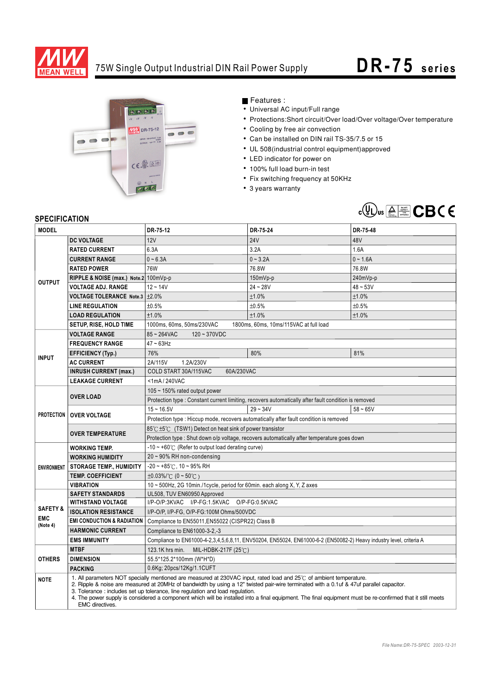

## 75W Single Output Industrial DIN Rail Power Supply **DR -75** series



Features :

- Universal AC input/Full range
- Protections:Short circuit/Over load/Over voltage/Over temperature
- Cooling by free air convection
- Can be installed on DIN rail TS-35/7.5 or 15
- UL 508(industrial control equipment)approved
- LED indicator for power on
- 100% full load burn-in test
- Fix switching frequency at 50KHz
- 3 years warranty



## **SPECIFICATION**

| <b>MODEL</b>                                  |                                                                                                                                                                                                                                                                                                                                                                                                                                                                                                                                   | DR-75-12                                                                                                            | DR-75-24   | DR-75-48   |
|-----------------------------------------------|-----------------------------------------------------------------------------------------------------------------------------------------------------------------------------------------------------------------------------------------------------------------------------------------------------------------------------------------------------------------------------------------------------------------------------------------------------------------------------------------------------------------------------------|---------------------------------------------------------------------------------------------------------------------|------------|------------|
| <b>OUTPUT</b>                                 | <b>DC VOLTAGE</b>                                                                                                                                                                                                                                                                                                                                                                                                                                                                                                                 | 12V                                                                                                                 | <b>24V</b> | 48V        |
|                                               | <b>RATED CURRENT</b>                                                                                                                                                                                                                                                                                                                                                                                                                                                                                                              | 6.3A                                                                                                                | 3.2A       | 1.6A       |
|                                               | <b>CURRENT RANGE</b>                                                                                                                                                                                                                                                                                                                                                                                                                                                                                                              | $0 - 6.3A$                                                                                                          | $0 - 3.2A$ | $0 - 1.6A$ |
|                                               | <b>RATED POWER</b>                                                                                                                                                                                                                                                                                                                                                                                                                                                                                                                | 76W                                                                                                                 | 76.8W      | 76.8W      |
|                                               | RIPPLE & NOISE (max.) Note.2 100mVp-p                                                                                                                                                                                                                                                                                                                                                                                                                                                                                             |                                                                                                                     | $150mVp-p$ | 240mVp-p   |
|                                               | <b>VOLTAGE ADJ. RANGE</b>                                                                                                                                                                                                                                                                                                                                                                                                                                                                                                         | $12 - 14V$                                                                                                          | $24 - 28V$ | $48 - 53V$ |
|                                               | VOLTAGE TOLERANCE Note.3   ±2.0%                                                                                                                                                                                                                                                                                                                                                                                                                                                                                                  |                                                                                                                     | ±1.0%      | ±1.0%      |
|                                               | <b>LINE REGULATION</b>                                                                                                                                                                                                                                                                                                                                                                                                                                                                                                            | ±0.5%                                                                                                               | ±0.5%      | ±0.5%      |
|                                               | <b>LOAD REGULATION</b>                                                                                                                                                                                                                                                                                                                                                                                                                                                                                                            | ±1.0%                                                                                                               | ±1.0%      | ±1.0%      |
|                                               | SETUP, RISE, HOLD TIME                                                                                                                                                                                                                                                                                                                                                                                                                                                                                                            | 1000ms, 60ms, 50ms/230VAC<br>1800ms, 60ms, 10ms/115VAC at full load                                                 |            |            |
| <b>INPUT</b>                                  | <b>VOLTAGE RANGE</b>                                                                                                                                                                                                                                                                                                                                                                                                                                                                                                              | $85 - 264$ VAC<br>$120 - 370VDC$                                                                                    |            |            |
|                                               | <b>FREQUENCY RANGE</b>                                                                                                                                                                                                                                                                                                                                                                                                                                                                                                            | $47 \sim 63$ Hz                                                                                                     |            |            |
|                                               | <b>EFFICIENCY (Typ.)</b>                                                                                                                                                                                                                                                                                                                                                                                                                                                                                                          | 76%                                                                                                                 | 80%        | 81%        |
|                                               | <b>AC CURRENT</b>                                                                                                                                                                                                                                                                                                                                                                                                                                                                                                                 | 2A/115V<br>1.2A/230V                                                                                                |            |            |
|                                               | <b>INRUSH CURRENT (max.)</b>                                                                                                                                                                                                                                                                                                                                                                                                                                                                                                      | COLD START 30A/115VAC<br>60A/230VAC                                                                                 |            |            |
|                                               | <b>LEAKAGE CURRENT</b>                                                                                                                                                                                                                                                                                                                                                                                                                                                                                                            | <1mA/240VAC                                                                                                         |            |            |
|                                               | <b>OVER LOAD</b>                                                                                                                                                                                                                                                                                                                                                                                                                                                                                                                  | 105 $\sim$ 150% rated output power                                                                                  |            |            |
|                                               |                                                                                                                                                                                                                                                                                                                                                                                                                                                                                                                                   | Protection type : Constant current limiting, recovers automatically after fault condition is removed                |            |            |
|                                               | <b>PROTECTION   OVER VOLTAGE</b>                                                                                                                                                                                                                                                                                                                                                                                                                                                                                                  | $15 - 16.5V$                                                                                                        | $29 - 34V$ | $58 - 65V$ |
|                                               |                                                                                                                                                                                                                                                                                                                                                                                                                                                                                                                                   | Protection type : Hiccup mode, recovers automatically after fault condition is removed                              |            |            |
|                                               | <b>OVER TEMPERATURE</b>                                                                                                                                                                                                                                                                                                                                                                                                                                                                                                           | 85℃ ±5℃ (TSW1) Detect on heat sink of power transistor                                                              |            |            |
|                                               |                                                                                                                                                                                                                                                                                                                                                                                                                                                                                                                                   | Protection type : Shut down o/p voltage, recovers automatically after temperature goes down                         |            |            |
| <b>ENVIRONMENT</b>                            | <b>WORKING TEMP.</b>                                                                                                                                                                                                                                                                                                                                                                                                                                                                                                              | $-10 \sim +60^{\circ}$ (Refer to output load derating curve)                                                        |            |            |
|                                               | <b>WORKING HUMIDITY</b>                                                                                                                                                                                                                                                                                                                                                                                                                                                                                                           | $20 \sim 90\%$ RH non-condensing                                                                                    |            |            |
|                                               | <b>STORAGE TEMP., HUMIDITY</b>                                                                                                                                                                                                                                                                                                                                                                                                                                                                                                    | $-20 \sim +85^{\circ}$ C, 10 ~ 95% RH                                                                               |            |            |
|                                               | <b>TEMP. COEFFICIENT</b>                                                                                                                                                                                                                                                                                                                                                                                                                                                                                                          | $\pm 0.03\%$ (0 ~ 50°C)                                                                                             |            |            |
|                                               | <b>VIBRATION</b>                                                                                                                                                                                                                                                                                                                                                                                                                                                                                                                  | 10 ~ 500Hz, 2G 10min./1cycle, period for 60min. each along X, Y, Z axes                                             |            |            |
| <b>SAFETY &amp;</b><br><b>EMC</b><br>(Note 4) | <b>SAFETY STANDARDS</b>                                                                                                                                                                                                                                                                                                                                                                                                                                                                                                           | UL508, TUV EN60950 Approved                                                                                         |            |            |
|                                               | <b>WITHSTAND VOLTAGE</b>                                                                                                                                                                                                                                                                                                                                                                                                                                                                                                          | I/P-O/P:3KVAC I/P-FG:1.5KVAC O/P-FG:0.5KVAC                                                                         |            |            |
|                                               | <b>ISOLATION RESISTANCE</b>                                                                                                                                                                                                                                                                                                                                                                                                                                                                                                       | I/P-O/P, I/P-FG, O/P-FG:100M Ohms/500VDC                                                                            |            |            |
|                                               | <b>EMI CONDUCTION &amp; RADIATION</b>                                                                                                                                                                                                                                                                                                                                                                                                                                                                                             | Compliance to EN55011, EN55022 (CISPR22) Class B                                                                    |            |            |
|                                               | <b>HARMONIC CURRENT</b>                                                                                                                                                                                                                                                                                                                                                                                                                                                                                                           | Compliance to EN61000-3-2,-3                                                                                        |            |            |
|                                               | <b>EMS IMMUNITY</b>                                                                                                                                                                                                                                                                                                                                                                                                                                                                                                               | Compliance to EN61000-4-2,3,4,5,6,8,11, ENV50204, EN55024, EN61000-6-2 (EN50082-2) Heavy industry level, criteria A |            |            |
| <b>OTHERS</b>                                 | <b>MTBF</b>                                                                                                                                                                                                                                                                                                                                                                                                                                                                                                                       | 123.1K hrs min.<br>MIL-HDBK-217F (25 $°C$ )                                                                         |            |            |
|                                               | <b>DIMENSION</b>                                                                                                                                                                                                                                                                                                                                                                                                                                                                                                                  | 55.5*125.2*100mm (W*H*D)                                                                                            |            |            |
|                                               | <b>PACKING</b>                                                                                                                                                                                                                                                                                                                                                                                                                                                                                                                    | 0.6Kg; 20pcs/12Kg/1.1CUFT                                                                                           |            |            |
| <b>NOTE</b>                                   | 1. All parameters NOT specially mentioned are measured at 230VAC input, rated load and 25°C of ambient temperature.<br>2. Ripple & noise are measured at 20MHz of bandwidth by using a 12" twisted pair-wire terminated with a 0.1uf & 47uf parallel capacitor.<br>3. Tolerance: includes set up tolerance, line regulation and load regulation.<br>4. The power supply is considered a component which will be installed into a final equipment. The final equipment must be re-confirmed that it still meets<br>EMC directives. |                                                                                                                     |            |            |